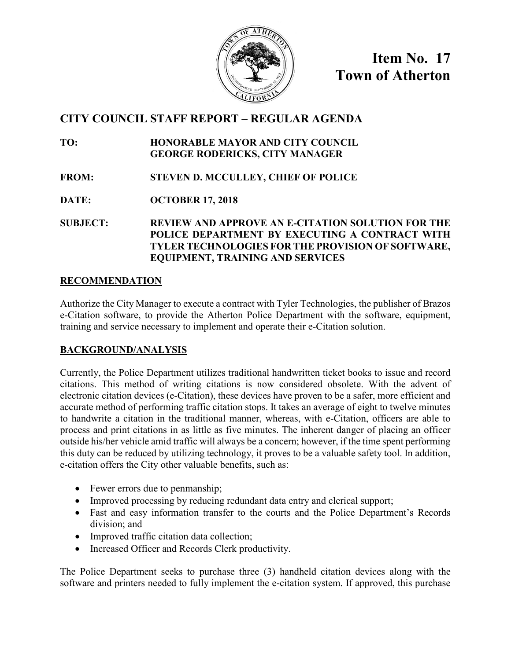

**Item No. 17 Town of Atherton**

# **CITY COUNCIL STAFF REPORT – REGULAR AGENDA**

**TO: HONORABLE MAYOR AND CITY COUNCIL GEORGE RODERICKS, CITY MANAGER**

- **FROM: STEVEN D. MCCULLEY, CHIEF OF POLICE**
- **DATE: OCTOBER 17, 2018**

**SUBJECT: REVIEW AND APPROVE AN E-CITATION SOLUTION FOR THE POLICE DEPARTMENT BY EXECUTING A CONTRACT WITH TYLER TECHNOLOGIES FOR THE PROVISION OF SOFTWARE, EQUIPMENT, TRAINING AND SERVICES**

# **RECOMMENDATION**

Authorize the City Manager to execute a contract with Tyler Technologies, the publisher of Brazos e-Citation software, to provide the Atherton Police Department with the software, equipment, training and service necessary to implement and operate their e-Citation solution.

# **BACKGROUND/ANALYSIS**

Currently, the Police Department utilizes traditional handwritten ticket books to issue and record citations. This method of writing citations is now considered obsolete. With the advent of electronic citation devices (e-Citation), these devices have proven to be a safer, more efficient and accurate method of performing traffic citation stops. It takes an average of eight to twelve minutes to handwrite a citation in the traditional manner, whereas, with e-Citation, officers are able to process and print citations in as little as five minutes. The inherent danger of placing an officer outside his/her vehicle amid traffic will always be a concern; however, if the time spent performing this duty can be reduced by utilizing technology, it proves to be a valuable safety tool. In addition, e-citation offers the City other valuable benefits, such as:

- Fewer errors due to penmanship;
- Improved processing by reducing redundant data entry and clerical support;
- Fast and easy information transfer to the courts and the Police Department's Records division; and
- Improved traffic citation data collection;
- Increased Officer and Records Clerk productivity.

The Police Department seeks to purchase three (3) handheld citation devices along with the software and printers needed to fully implement the e-citation system. If approved, this purchase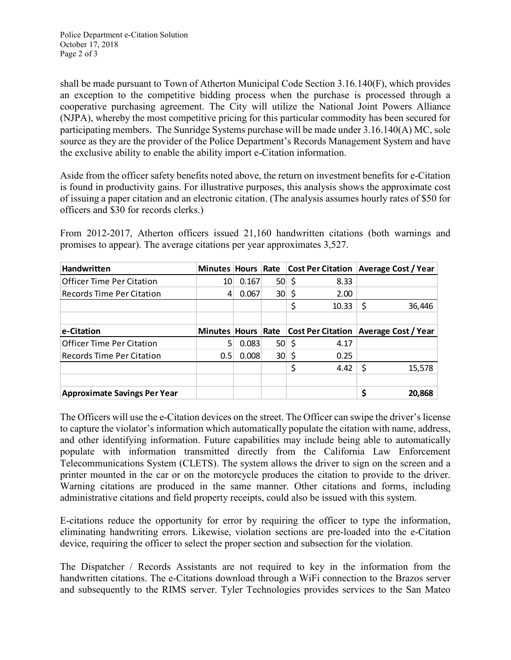shall be made pursuant to Town of Atherton Municipal Code Section 3.16.140(F), which provides an exception to the competitive bidding process when the purchase is processed through a cooperative purchasing agreement. The City will utilize the National Joint Powers Alliance (NJPA), whereby the most competitive pricing for this particular commodity has been secured for participating members. The Sunridge Systems purchase will be made under 3.16.140(A) MC, sole source as they are the provider of the Police Department's Records Management System and have the exclusive ability to enable the ability import e-Citation information.

Aside from the officer safety benefits noted above, the return on investment benefits for e-Citation is found in productivity gains. For illustrative purposes, this analysis shows the approximate cost of issuing a paper citation and an electronic citation. (The analysis assumes hourly rates of \$50 for officers and \$30 for records clerks.)

From 2012-2017, Atherton officers issued 21,160 handwritten citations (both warnings and promises to appear). The average citations per year approximates 3,527.

| <b>Handwritten</b>               |                    |       |                 |               |       | Minutes Hours Rate Cost Per Citation Average Cost / Year |
|----------------------------------|--------------------|-------|-----------------|---------------|-------|----------------------------------------------------------|
| <b>Officer Time Per Citation</b> | 10                 | 0.167 |                 | $50 \mid \xi$ | 8.33  |                                                          |
| Records Time Per Citation        | 4                  | 0.067 |                 | $30 \,$ \$    | 2.00  |                                                          |
|                                  |                    |       |                 |               | 10.33 | \$<br>36,446                                             |
|                                  |                    |       |                 |               |       |                                                          |
| e-Citation                       | Minutes Hours Rate |       |                 |               |       | <b>Cost Per Citation Average Cost / Year</b>             |
| <b>Officer Time Per Citation</b> | 5                  | 0.083 | $50 \mid \zeta$ |               | 4.17  |                                                          |
| <b>Records Time Per Citation</b> | 0.5                | 0.008 | $30 \,$ \$      |               | 0.25  |                                                          |
|                                  |                    |       |                 |               |       |                                                          |
|                                  |                    |       |                 | \$            | 4.42  | \$<br>15,578                                             |
|                                  |                    |       |                 |               |       |                                                          |

The Officers will use the e-Citation devices on the street. The Officer can swipe the driver's license to capture the violator's information which automatically populate the citation with name, address, and other identifying information. Future capabilities may include being able to automatically populate with information transmitted directly from the California Law Enforcement Telecommunications System (CLETS). The system allows the driver to sign on the screen and a printer mounted in the car or on the motorcycle produces the citation to provide to the driver. Warning citations are produced in the same manner. Other citations and forms, including administrative citations and field property receipts, could also be issued with this system.

E-citations reduce the opportunity for error by requiring the officer to type the information, eliminating handwriting errors. Likewise, violation sections are pre-loaded into the e-Citation device, requiring the officer to select the proper section and subsection for the violation.

The Dispatcher / Records Assistants are not required to key in the information from the handwritten citations. The e-Citations download through a WiFi connection to the Brazos server and subsequently to the RIMS server. Tyler Technologies provides services to the San Mateo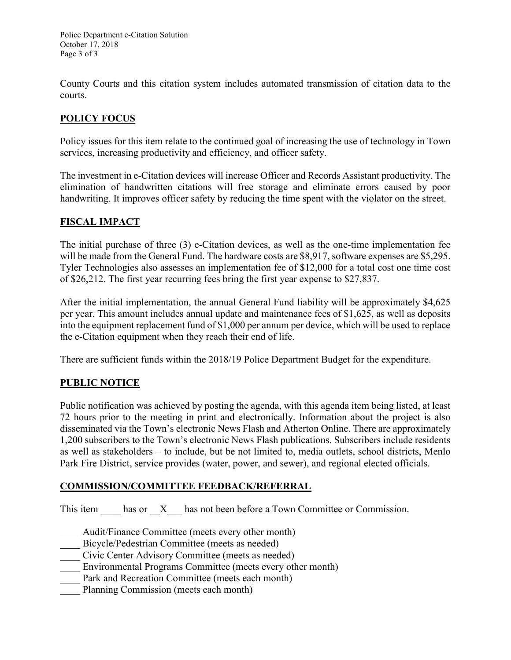Police Department e-Citation Solution October 17, 2018 Page 3 of 3

County Courts and this citation system includes automated transmission of citation data to the courts.

# **POLICY FOCUS**

Policy issues for this item relate to the continued goal of increasing the use of technology in Town services, increasing productivity and efficiency, and officer safety.

The investment in e-Citation devices will increase Officer and Records Assistant productivity. The elimination of handwritten citations will free storage and eliminate errors caused by poor handwriting. It improves officer safety by reducing the time spent with the violator on the street.

### **FISCAL IMPACT**

The initial purchase of three (3) e-Citation devices, as well as the one-time implementation fee will be made from the General Fund. The hardware costs are \$8,917, software expenses are \$5,295. Tyler Technologies also assesses an implementation fee of \$12,000 for a total cost one time cost of \$26,212. The first year recurring fees bring the first year expense to \$27,837.

After the initial implementation, the annual General Fund liability will be approximately \$4,625 per year. This amount includes annual update and maintenance fees of \$1,625, as well as deposits into the equipment replacement fund of \$1,000 per annum per device, which will be used to replace the e-Citation equipment when they reach their end of life.

There are sufficient funds within the 2018/19 Police Department Budget for the expenditure.

### **PUBLIC NOTICE**

Public notification was achieved by posting the agenda, with this agenda item being listed, at least 72 hours prior to the meeting in print and electronically. Information about the project is also disseminated via the Town's electronic News Flash and Atherton Online. There are approximately 1,200 subscribers to the Town's electronic News Flash publications. Subscribers include residents as well as stakeholders – to include, but be not limited to, media outlets, school districts, Menlo Park Fire District, service provides (water, power, and sewer), and regional elected officials.

### **COMMISSION/COMMITTEE FEEDBACK/REFERRAL**

This item has or X has not been before a Town Committee or Commission.

Audit/Finance Committee (meets every other month)

Bicycle/Pedestrian Committee (meets as needed)

- \_\_\_\_ Civic Center Advisory Committee (meets as needed)
- Environmental Programs Committee (meets every other month)
- Park and Recreation Committee (meets each month)
- Planning Commission (meets each month)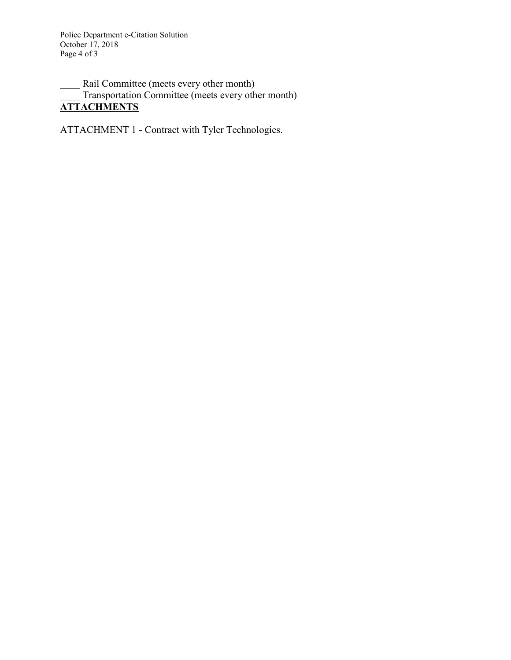Police Department e-Citation Solution October 17, 2018 Page 4 of 3

Rail Committee (meets every other month) Transportation Committee (meets every other month) **ATTACHMENTS**

ATTACHMENT 1 - Contract with Tyler Technologies.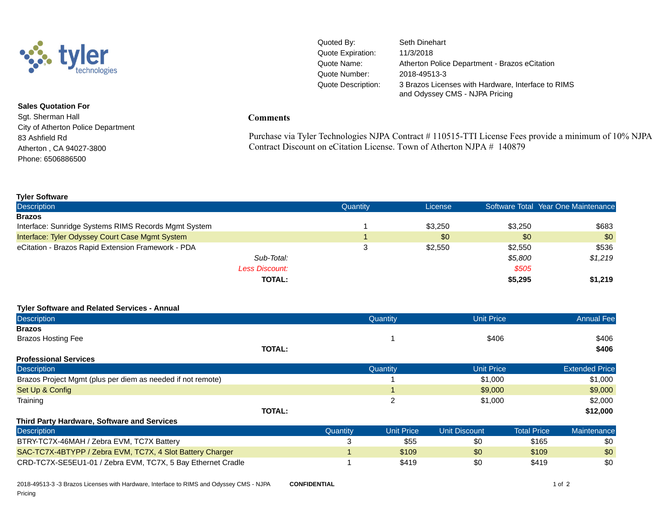

**Sales Quotation For** Sgt. Sherman Hall City of Atherton Police Department 83 Ashfield Rd Atherton , CA 94027-3800 Phone: 6506886500

Quoted By: Seth Dinehart Quote Expiration: 11/3/2018 Quote Name: Atherton Police Department - Brazos eCitation Quote Number: 2018-49513-3 Quote Description: 3 Brazos Licenses with Hardware, Interface to RIMS and Odyssey CMS - NJPA Pricing

#### **Comments**

Purchase via Tyler Technologies NJPA Contract # 110515-TTI License Fees provide a minimum of 10% NJPA Contract Discount on eCitation License. Town of Atherton NJPA # 140879

| <b>Tyler Software</b>                                |          |         |         |                                     |
|------------------------------------------------------|----------|---------|---------|-------------------------------------|
| <b>Description</b>                                   | Quantity | License |         | Software Total Year One Maintenance |
| <b>Brazos</b>                                        |          |         |         |                                     |
| Interface: Sunridge Systems RIMS Records Mgmt System |          | \$3,250 | \$3.250 | \$683                               |
| Interface: Tyler Odyssey Court Case Mgmt System      |          | \$0     | \$0     | \$0                                 |
| eCitation - Brazos Rapid Extension Framework - PDA   | J        | \$2,550 | \$2,550 | \$536                               |
| Sub-Total:                                           |          |         | \$5,800 | \$1,219                             |
| <b>Less Discount:</b>                                |          |         | \$505   |                                     |
| <b>TOTAL:</b>                                        |          |         | \$5,295 | \$1.219                             |

#### **Tyler Software and Related Services - Annual**

| <b>Description</b>                                          |               |          | Quantity          | <b>Unit Price</b>    |                    | <b>Annual Fee</b>     |
|-------------------------------------------------------------|---------------|----------|-------------------|----------------------|--------------------|-----------------------|
| <b>Brazos</b>                                               |               |          |                   |                      |                    |                       |
| <b>Brazos Hosting Fee</b>                                   |               |          |                   | \$406                |                    | \$406                 |
|                                                             | <b>TOTAL:</b> |          |                   |                      |                    | \$406                 |
| <b>Professional Services</b>                                |               |          |                   |                      |                    |                       |
| <b>Description</b>                                          |               |          | Quantity          | <b>Unit Price</b>    |                    | <b>Extended Price</b> |
| Brazos Project Mgmt (plus per diem as needed if not remote) |               |          |                   | \$1,000              |                    | \$1,000               |
| Set Up & Config                                             |               |          |                   | \$9,000              |                    | \$9,000               |
| Training                                                    |               |          | $\overline{2}$    | \$1,000              |                    | \$2,000               |
|                                                             | <b>TOTAL:</b> |          |                   |                      |                    | \$12,000              |
| <b>Third Party Hardware, Software and Services</b>          |               |          |                   |                      |                    |                       |
| <b>Description</b>                                          |               | Quantity | <b>Unit Price</b> | <b>Unit Discount</b> | <b>Total Price</b> | Maintenance           |
| BTRY-TC7X-46MAH / Zebra EVM, TC7X Battery                   |               | 3        | \$55              | \$0                  | \$165              | \$0                   |
| SAC-TC7X-4BTYPP / Zebra EVM, TC7X, 4 Slot Battery Charger   |               |          | \$109             | \$0                  | \$109              | \$0                   |
| CRD-TC7X-SE5EU1-01 / Zebra EVM, TC7X, 5 Bay Ethernet Cradle |               |          | \$419             | \$0                  | \$419              | \$0                   |

2018-49513-3 -3 Brazos Licenses with Hardware, Interface to RIMS and Odyssey CMS - NJPA Pricing **CONFIDENTIAL** 1 of 2